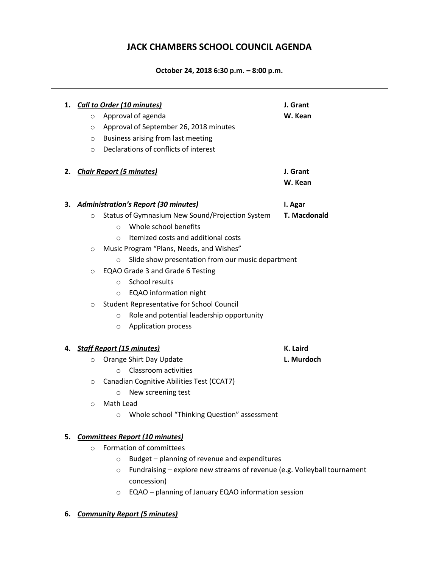## **JACK CHAMBERS SCHOOL COUNCIL AGENDA**

**October 24, 2018 6:30 p.m. – 8:00 p.m.**

|    | $\circ$<br>$\circ$<br>$\circ$<br>$\circ$ | 1. Call to Order (10 minutes)<br>Approval of agenda<br>Approval of September 26, 2018 minutes<br>Business arising from last meeting<br>Declarations of conflicts of interest | J. Grant<br>W. Kean |
|----|------------------------------------------|------------------------------------------------------------------------------------------------------------------------------------------------------------------------------|---------------------|
| 2. |                                          | <b>Chair Report (5 minutes)</b>                                                                                                                                              | J. Grant<br>W. Kean |
| з. |                                          | <b>Administration's Report (30 minutes)</b>                                                                                                                                  | I. Agar             |
|    | $\circ$                                  | Status of Gymnasium New Sound/Projection System                                                                                                                              | T. Macdonald        |
|    |                                          | Whole school benefits<br>$\circ$                                                                                                                                             |                     |
|    |                                          | Itemized costs and additional costs<br>$\Omega$                                                                                                                              |                     |
|    | $\circ$                                  | Music Program "Plans, Needs, and Wishes"                                                                                                                                     |                     |
|    |                                          | Slide show presentation from our music department<br>$\circ$                                                                                                                 |                     |
|    | $\circ$                                  | EQAO Grade 3 and Grade 6 Testing                                                                                                                                             |                     |
|    |                                          | <b>School results</b><br>$\circ$                                                                                                                                             |                     |
|    |                                          | <b>EQAO</b> information night<br>$\circ$                                                                                                                                     |                     |
|    | $\circ$                                  | <b>Student Representative for School Council</b>                                                                                                                             |                     |
|    |                                          | Role and potential leadership opportunity<br>$\circ$                                                                                                                         |                     |
|    |                                          | <b>Application process</b><br>$\circ$                                                                                                                                        |                     |
| 4. | <b>Staff Report (15 minutes)</b>         |                                                                                                                                                                              | K. Laird            |
|    | $\circ$                                  | Orange Shirt Day Update                                                                                                                                                      | L. Murdoch          |
|    |                                          | Classroom activities<br>$\Omega$                                                                                                                                             |                     |
|    | $\circ$                                  | Canadian Cognitive Abilities Test (CCAT7)                                                                                                                                    |                     |
|    |                                          | New screening test<br>$\circ$                                                                                                                                                |                     |
|    | $\circ$                                  | Math Lead                                                                                                                                                                    |                     |
|    |                                          | Whole school "Thinking Question" assessment<br>O                                                                                                                             |                     |
| 5. | <b>Committees Report (10 minutes)</b>    |                                                                                                                                                                              |                     |
|    | Formation of committees<br>$\circ$       |                                                                                                                                                                              |                     |
|    |                                          | Budget - planning of revenue and expenditures<br>$\circ$                                                                                                                     |                     |
|    |                                          | Fundraising - explore new streams of revenue (e.g. Volleyball tournament<br>$\circ$                                                                                          |                     |
|    |                                          | concession)                                                                                                                                                                  |                     |

o EQAO – planning of January EQAO information session

## **6.** *Community Report (5 minutes)*